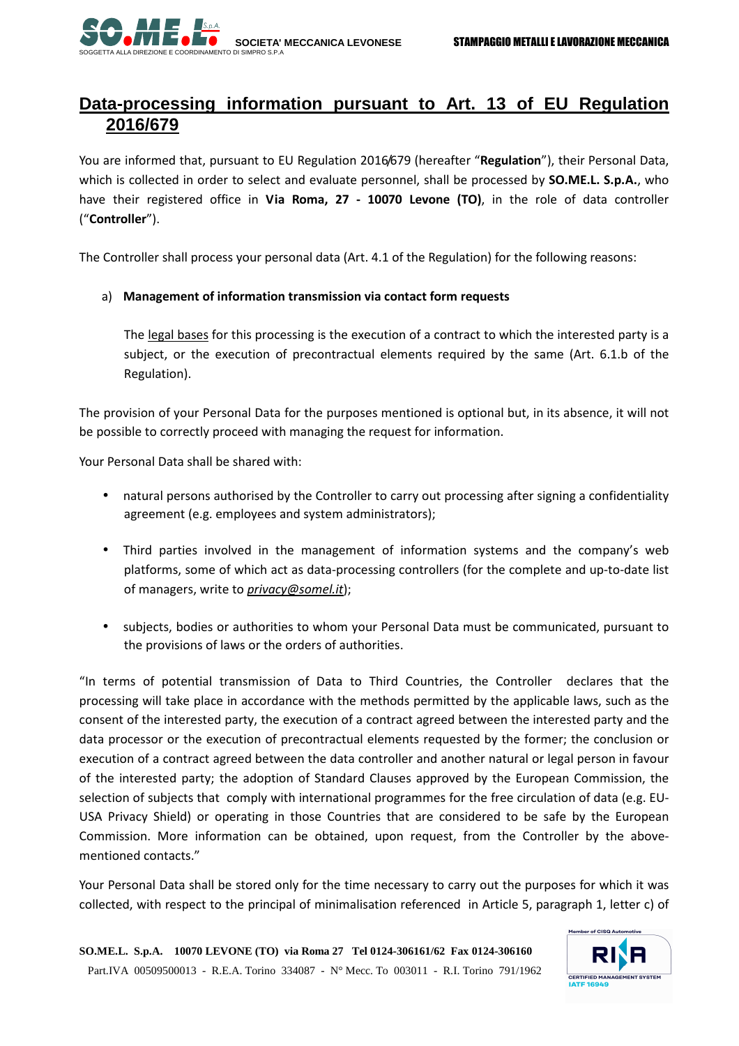

## **Data-processing information pursuant to Art. 13 of EU Regulation 2016/679**

You are informed that, pursuant to EU Regulation 2016/679 (hereafter "**Regulation**"), their Personal Data, which is collected in order to select and evaluate personnel, shall be processed by **SO.ME.L. S.p.A.**, who have their registered office in **Via Roma, 27 - 10070 Levone (TO)**, in the role of data controller ("**Controller**").

The Controller shall process your personal data (Art. 4.1 of the Regulation) for the following reasons:

## a) **Management of information transmission via contact form requests**

The legal bases for this processing is the execution of a contract to which the interested party is a subject, or the execution of precontractual elements required by the same (Art. 6.1.b of the Regulation).

The provision of your Personal Data for the purposes mentioned is optional but, in its absence, it will not be possible to correctly proceed with managing the request for information.

Your Personal Data shall be shared with:

- natural persons authorised by the Controller to carry out processing after signing a confidentiality agreement (e.g. employees and system administrators);
- Third parties involved in the management of information systems and the company's web platforms, some of which act as data-processing controllers (for the complete and up-to-date list of managers, write to *privacy@somel.it*);
- subjects, bodies or authorities to whom your Personal Data must be communicated, pursuant to the provisions of laws or the orders of authorities.

"In terms of potential transmission of Data to Third Countries, the Controller declares that the processing will take place in accordance with the methods permitted by the applicable laws, such as the consent of the interested party, the execution of a contract agreed between the interested party and the data processor or the execution of precontractual elements requested by the former; the conclusion or execution of a contract agreed between the data controller and another natural or legal person in favour of the interested party; the adoption of Standard Clauses approved by the European Commission, the selection of subjects that comply with international programmes for the free circulation of data (e.g. EU-USA Privacy Shield) or operating in those Countries that are considered to be safe by the European Commission. More information can be obtained, upon request, from the Controller by the abovementioned contacts."

Your Personal Data shall be stored only for the time necessary to carry out the purposes for which it was collected, with respect to the principal of minimalisation referenced in Article 5, paragraph 1, letter c) of